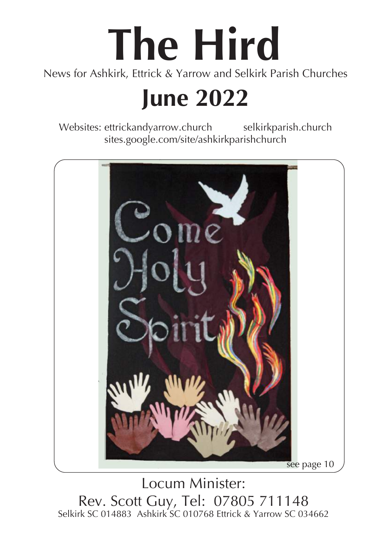# **The Hird**

News for Ashkirk, Ettrick & Yarrow and Selkirk Parish Churches

# **June 2022**

Websites: ettrickandyarrow.church selkirkparish.church sites.google.com/site/ashkirkparishchurch



 $\overline{a}$ Locum Minister: Rev. Scott Guy, Tel: 07805 711148 Selkirk SC 014883 Ashkirk SC 010768 Ettrick & Yarrow SC 034662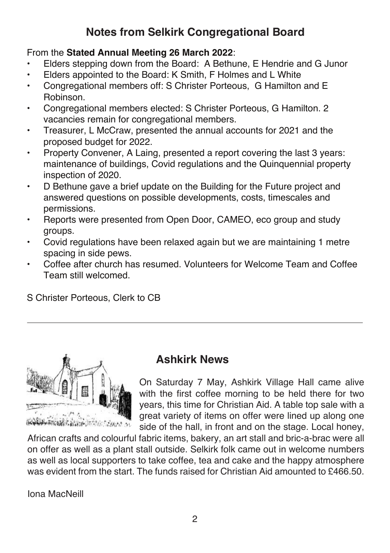# **Notes from Selkirk Congregational Board**

#### From the **Stated Annual Meeting 26 March 2022**:

- Elders stepping down from the Board: A Bethune, E Hendrie and G Junor
- Elders appointed to the Board: K Smith, F Holmes and L White
- Congregational members off: S Christer Porteous, G Hamilton and E Robinson.
- Congregational members elected: S Christer Porteous, G Hamilton. 2 vacancies remain for congregational members.
- Treasurer, L McCraw, presented the annual accounts for 2021 and the proposed budget for 2022.
- Property Convener, A Laing, presented a report covering the last 3 years: maintenance of buildings, Covid regulations and the Quinquennial property inspection of 2020.
- D Bethune gave a brief update on the Building for the Future project and answered questions on possible developments, costs, timescales and permissions.
- Reports were presented from Open Door, CAMEO, eco group and study groups.
- Covid regulations have been relaxed again but we are maintaining 1 metre spacing in side pews.
- Coffee after church has resumed. Volunteers for Welcome Team and Coffee Team still welcomed.

S Christer Porteous, Clerk to CB



#### **Ashkirk News**

On Saturday 7 May, Ashkirk Village Hall came alive with the first coffee morning to be held there for two years, this time for Christian Aid. A table top sale with a great variety of items on offer were lined up along one side of the hall, in front and on the stage. Local honey,

African crafts and colourful fabric items, bakery, an art stall and bric-a-brac were all on offer as well as a plant stall outside. Selkirk folk came out in welcome numbers as well as local supporters to take coffee, tea and cake and the happy atmosphere was evident from the start. The funds raised for Christian Aid amounted to £466.50.

Iona MacNeill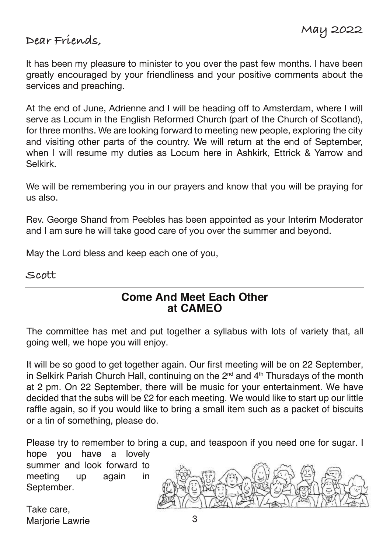#### **Dear Friends,**

It has been my pleasure to minister to you over the past few months. I have been greatly encouraged by your friendliness and your positive comments about the services and preaching.

At the end of June, Adrienne and I will be heading off to Amsterdam, where I will serve as Locum in the English Reformed Church (part of the Church of Scotland), for three months. We are looking forward to meeting new people, exploring the city and visiting other parts of the country. We will return at the end of September, when I will resume my duties as Locum here in Ashkirk, Ettrick & Yarrow and Selkirk.

We will be remembering you in our prayers and know that you will be praying for us also.

Rev. George Shand from Peebles has been appointed as your Interim Moderator and I am sure he will take good care of you over the summer and beyond.

May the Lord bless and keep each one of you,

**Scott**

#### **Come And Meet Each Other at CAMEO**

The committee has met and put together a syllabus with lots of variety that, all going well, we hope you will enjoy.

It will be so good to get together again. Our first meeting will be on 22 September, in Selkirk Parish Church Hall, continuing on the 2<sup>nd</sup> and 4<sup>th</sup> Thursdays of the month at 2 pm. On 22 September, there will be music for your entertainment. We have decided that the subs will be £2 for each meeting. We would like to start up our little raffle again, so if you would like to bring a small item such as a packet of biscuits or a tin of something, please do.

Please try to remember to bring a cup, and teaspoon if you need one for sugar. I hope you have a lovely

summer and look forward to meeting up again in September.

Take care, Mariorie Lawrie

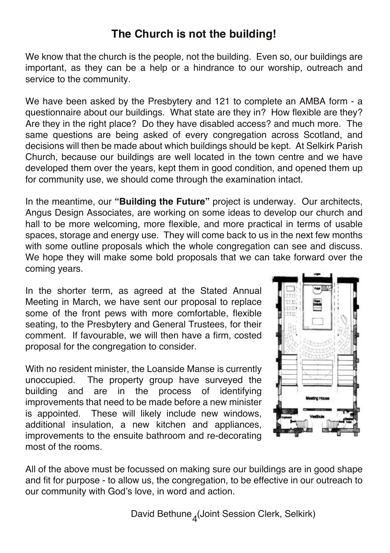#### **The Church is not the building!**

We know that the church is the people, not the building. Even so, our buildings are important, as they can be a help or a hindrance to our worship, outreach and service to the community.

We have been asked by the Presbytery and 121 to complete an AMBA form - a questionnaire about our buildings. What state are they in? How flexible are they? Are they in the right place? Do they have disabled access? and much more. The same questions are being asked of every congregation across Scotland, and decisions will then be made about which buildings should be kept. At Selkirk Parish Church, because our buildings are well located in the town centre and we have developed them over the years, kept them in good condition, and opened them up for community use, we should come through the examination intact.

In the meantime, our **"Building the Future"** project is underway. Our architects, Angus Design Associates, are working on some ideas to develop our church and hall to be more welcoming, more flexible, and more practical in terms of usable spaces, storage and energy use. They will come back to us in the next few months with some outline proposals which the whole congregation can see and discuss. We hope they will make some bold proposals that we can take forward over the coming years.

In the shorter term, as agreed at the Stated Annual Meeting in March, we have sent our proposal to replace some of the front pews with more comfortable, flexible seating, to the Presbytery and General Trustees, for their comment. If favourable, we will then have a firm, costed proposal for the congregation to consider.

With no resident minister, the Loanside Manse is currently unoccupied. The property group have surveyed the building and are in the process of identifying improvements that need to be made before a new minister is appointed. These will likely include new windows, additional insulation, a new kitchen and appliances, improvements to the ensuite bathroom and re-decorating most of the rooms.



All of the above must be focussed on making sure our buildings are in good shape and fit for purpose - to allow us, the congregation, to be effective in our outreach to our community with God's love, in word and action.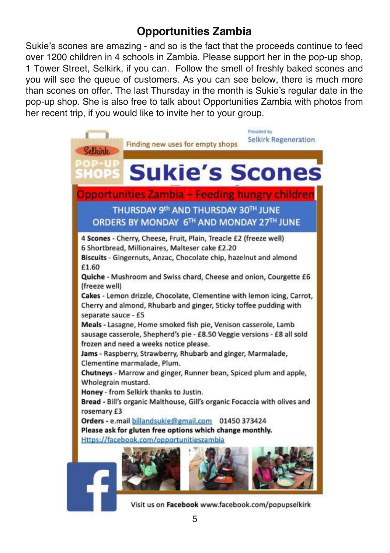# **Opportunities Zambia**

Sukie's scones are amazing - and so is the fact that the proceeds continue to feed over 1200 children in 4 schools in Zambia. Please support her in the pop-up shop, 1 Tower Street, Selkirk, if you can. Follow the smell of freshly baked scones and you will see the queue of customers. As you can see below, there is much more than scones on offer. The last Thursday in the month is Sukie's regular date in the pop-up shop. She is also free to talk about Opportunities Zambia with photos from her recent trip, if you would like to invite her to your group.



Visit us on Facebook www.facebook.com/popupselkirk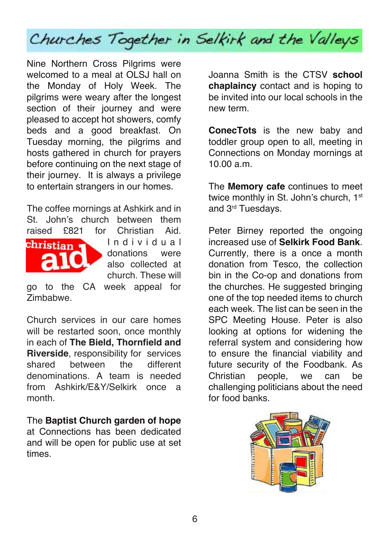

Nine Northern Cross Pilgrims were welcomed to a meal at OLSJ hall on the Monday of Holy Week. The pilgrims were weary after the longest section of their journey and were pleased to accept hot showers, comfy beds and a good breakfast. On Tuesday morning, the pilgrims and hosts gathered in church for prayers before continuing on the next stage of their journey. It is always a privilege to entertain strangers in our homes.

The coffee mornings at Ashkirk and in St. John's church between them raised £821 for Christian Aid.



I n d i v i d u a l donations were also collected at church. These will

go to the CA week appeal for Zimbabwe.

Church services in our care homes will be restarted soon, once monthly in each of **The Bield, Thornfield and Riverside**, responsibility for services shared between the different denominations. A team is needed from Ashkirk/E&Y/Selkirk once a month.

The **Baptist Church garden of hope** at Connections has been dedicated and will be open for public use at set times.

Joanna Smith is the CTSV **school chaplaincy** contact and is hoping to be invited into our local schools in the new term.

**ConecTots** is the new baby and toddler group open to all, meeting in Connections on Monday mornings at 10.00 a.m.

The **Memory cafe** continues to meet twice monthly in St. John's church, 1st and 3<sup>rd</sup> Tuesdays.

Peter Birney reported the ongoing increased use of **Selkirk Food Bank**. Currently, there is a once a month donation from Tesco, the collection bin in the Co-op and donations from the churches. He suggested bringing one of the top needed items to church each week. The list can be seen in the SPC Meeting House. Peter is also looking at options for widening the referral system and considering how to ensure the financial viability and future security of the Foodbank. As Christian people, we can be challenging politicians about the need for food banks.

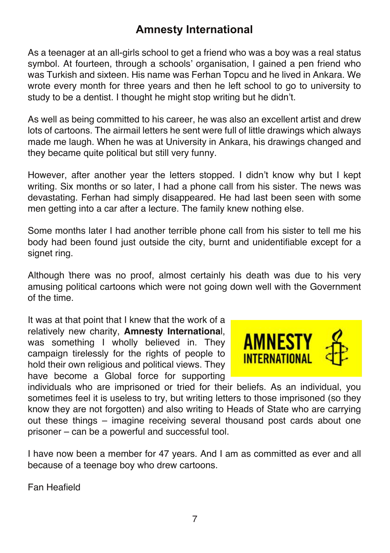#### **Amnesty International**

As a teenager at an all-girls school to get a friend who was a boy was a real status symbol. At fourteen, through a schools' organisation, I gained a pen friend who was Turkish and sixteen. His name was Ferhan Topcu and he lived in Ankara. We wrote every month for three years and then he left school to go to university to study to be a dentist. I thought he might stop writing but he didn't.

As well as being committed to his career, he was also an excellent artist and drew lots of cartoons. The airmail letters he sent were full of little drawings which always made me laugh. When he was at University in Ankara, his drawings changed and they became quite political but still very funny.

However, after another year the letters stopped. I didn't know why but I kept writing. Six months or so later, I had a phone call from his sister. The news was devastating. Ferhan had simply disappeared. He had last been seen with some men getting into a car after a lecture. The family knew nothing else.

Some months later I had another terrible phone call from his sister to tell me his body had been found just outside the city, burnt and unidentifiable except for a signet ring.

Although there was no proof, almost certainly his death was due to his very amusing political cartoons which were not going down well with the Government of the time.

It was at that point that I knew that the work of a relatively new charity, **Amnesty Internationa**l, was something I wholly believed in. They campaign tirelessly for the rights of people to hold their own religious and political views. They have become a Global force for supporting



individuals who are imprisoned or tried for their beliefs. As an individual, you sometimes feel it is useless to try, but writing letters to those imprisoned (so they know they are not forgotten) and also writing to Heads of State who are carrying out these things – imagine receiving several thousand post cards about one prisoner – can be a powerful and successful tool.

I have now been a member for 47 years. And I am as committed as ever and all because of a teenage boy who drew cartoons.

Fan Heafield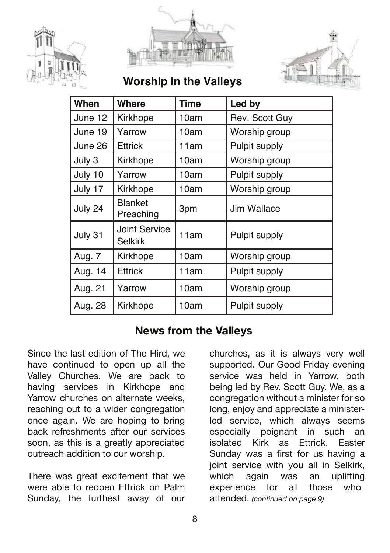





**Worship in the Valleys**

| When    | Where                                  | Time | Led by         |
|---------|----------------------------------------|------|----------------|
| June 12 | Kirkhope                               | 10am | Rev. Scott Guy |
| June 19 | Yarrow                                 | 10am | Worship group  |
| June 26 | Ettrick                                | 11am | Pulpit supply  |
| July 3  | Kirkhope                               | 10am | Worship group  |
| July 10 | Yarrow                                 | 10am | Pulpit supply  |
| July 17 | Kirkhope                               | 10am | Worship group  |
| July 24 | <b>Blanket</b><br>Preaching            | 3pm  | Jim Wallace    |
| July 31 | <b>Joint Service</b><br><b>Selkirk</b> | 11am | Pulpit supply  |
| Aug. 7  | Kirkhope                               | 10am | Worship group  |
| Aug. 14 | <b>Ettrick</b>                         | 11am | Pulpit supply  |
| Aug. 21 | Yarrow                                 | 10am | Worship group  |
| Aug. 28 | Kirkhope                               | 10am | Pulpit supply  |

#### **News from the Valleys**

Since the last edition of The Hird, we have continued to open up all the Valley Churches. We are back to having services in Kirkhope and Yarrow churches on alternate weeks, reaching out to a wider congregation once again. We are hoping to bring back refreshments after our services soon, as this is a greatly appreciated outreach addition to our worship.

There was great excitement that we were able to reopen Ettrick on Palm Sunday, the furthest away of our

churches, as it is always very well supported. Our Good Friday evening service was held in Yarrow, both being led by Rev. Scott Guy. We, as a congregation without a minister for so long, enjoy and appreciate a ministerled service, which always seems especially poignant in such an isolated Kirk as Ettrick. Easter Sunday was a first for us having a joint service with you all in Selkirk, which again was an uplifting experience for all those who attended. *(continued on page 9)*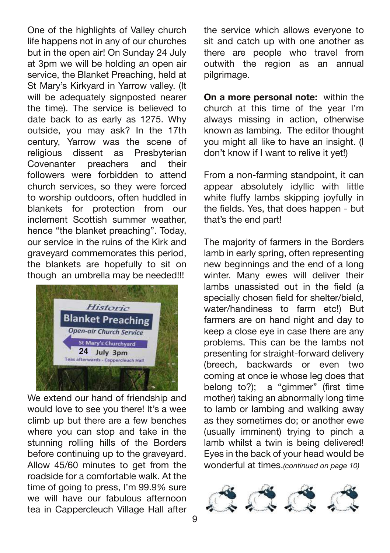One of the highlights of Valley church life happens not in any of our churches but in the open air! On Sunday 24 July at 3pm we will be holding an open air service, the Blanket Preaching, held at St Mary's Kirkyard in Yarrow valley. (It will be adequately signposted nearer the time). The service is believed to date back to as early as 1275. Why outside, you may ask? In the 17th century, Yarrow was the scene of religious dissent as Presbyterian Covenanter preachers and their followers were forbidden to attend church services, so they were forced to worship outdoors, often huddled in blankets for protection from our inclement Scottish summer weather hence "the blanket preaching". Today, our service in the ruins of the Kirk and graveyard commemorates this period, the blankets are hopefully to sit on though an umbrella may be needed!!!



We extend our hand of friendship and would love to see you there! It's a wee climb up but there are a few benches where you can stop and take in the stunning rolling hills of the Borders before continuing up to the graveyard. Allow 45/60 minutes to get from the roadside for a comfortable walk. At the time of going to press, I'm 99.9% sure we will have our fabulous afternoon tea in Cappercleuch Village Hall after

the service which allows everyone to sit and catch up with one another as there are people who travel from outwith the region as an annual pilgrimage.

**On a more personal note:** within the church at this time of the year I'm always missing in action, otherwise known as lambing. The editor thought you might all like to have an insight. (I don't know if I want to relive it yet!)

From a non-farming standpoint, it can appear absolutely idyllic with little white fluffy lambs skipping joyfully in the fields. Yes, that does happen - but that's the end part!

The majority of farmers in the Borders lamb in early spring, often representing new beginnings and the end of a long winter. Many ewes will deliver their lambs unassisted out in the field (a specially chosen field for shelter/bield, water/handiness to farm etc!) But farmers are on hand night and day to keep a close eye in case there are any problems. This can be the lambs not presenting for straight-forward delivery (breech, backwards or even two coming at once ie whose leg does that belong to?); a "gimmer" (first time mother) taking an abnormally long time to lamb or lambing and walking away as they sometimes do; or another ewe (usually imminent) trying to pinch a lamb whilst a twin is being delivered! Eyes in the back of your head would be wonderful at times.*(continued on page 10)*

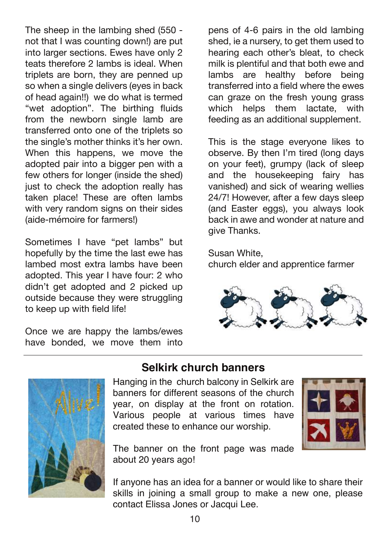The sheep in the lambing shed (550 not that I was counting down!) are put into larger sections. Ewes have only 2 teats therefore 2 lambs is ideal. When triplets are born, they are penned up so when a single delivers (eyes in back of head again!!) we do what is termed "wet adoption". The birthing fluids from the newborn single lamb are transferred onto one of the triplets so the single's mother thinks it's her own. When this happens, we move the adopted pair into a bigger pen with a few others for longer (inside the shed) just to check the adoption really has taken place! These are often lambs with very random signs on their sides (aide-mémoire for farmers!)

Sometimes I have "pet lambs" but hopefully by the time the last ewe has lambed most extra lambs have been adopted. This year I have four: 2 who didn't get adopted and 2 picked up outside because they were struggling to keep up with field life!

Once we are happy the lambs/ewes have bonded, we move them into pens of 4-6 pairs in the old lambing shed, ie a nursery, to get them used to hearing each other's bleat, to check milk is plentiful and that both ewe and lambs are healthy before being transferred into a field where the ewes can graze on the fresh young grass which helps them lactate, with feeding as an additional supplement.

This is the stage everyone likes to observe. By then I'm tired (long days on your feet), grumpy (lack of sleep and the housekeeping fairy has vanished) and sick of wearing wellies 24/7! However, after a few days sleep (and Easter eggs), you always look back in awe and wonder at nature and give Thanks.

Susan White,

church elder and apprentice farmer





#### **Selkirk church banners**

Hanging in the church balcony in Selkirk are banners for different seasons of the church year, on display at the front on rotation. Various people at various times have created these to enhance our worship.



The banner on the front page was made about 20 years ago!

If anyone has an idea for a banner or would like to share their skills in joining a small group to make a new one, please contact Elissa Jones or Jacqui Lee.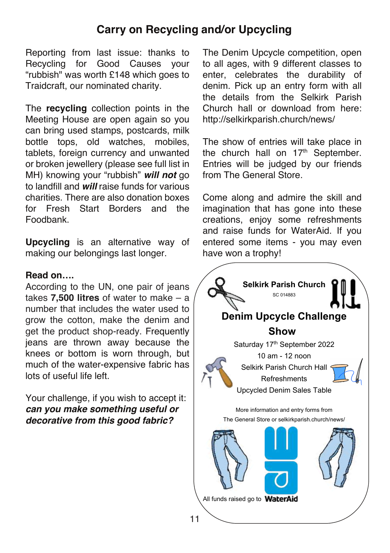#### **Carry on Recycling and/or Upcycling**

Reporting from last issue: thanks to Recycling for Good Causes your "rubbish" was worth £148 which goes to Traidcraft, our nominated charity.

The **recycling** collection points in the Meeting House are open again so you can bring used stamps, postcards, milk bottle tops, old watches, mobiles, tablets, foreign currency and unwanted or broken jewellery (please see full list in MH) knowing your "rubbish" *will not* go to landfill and *will* raise funds for various charities. There are also donation boxes for Fresh Start Borders and the Foodbank.

**Upcycling** is an alternative way of making our belongings last longer.

#### **Read on….**

According to the UN, one pair of jeans takes **7,500 litres** of water to make – a number that includes the water used to grow the cotton, make the denim and get the product shop-ready. Frequently jeans are thrown away because the knees or bottom is worn through, but much of the water-expensive fabric has lots of useful life left.

Your challenge, if you wish to accept it: *can you make something useful or decorative from this good fabric?*

The Denim Upcycle competition, open to all ages, with 9 different classes to enter, celebrates the durability of denim. Pick up an entry form with all the details from the Selkirk Parish Church hall or download from here: http://selkirkparish.church/news/

The show of entries will take place in the church hall on  $17<sup>th</sup>$  September. Entries will be judged by our friends from The General Store.

Come along and admire the skill and imagination that has gone into these creations, enjoy some refreshments and raise funds for WaterAid. If you entered some items - you may even have won a trophy!

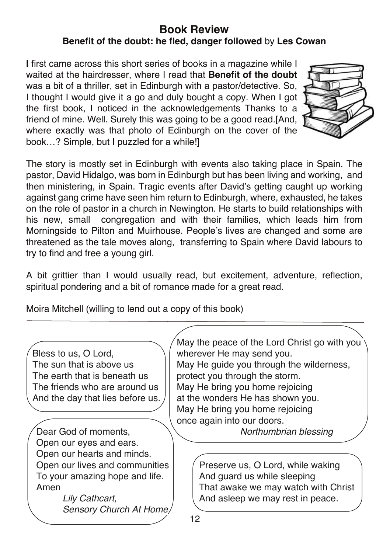#### **Book Review Benefit of the doubt: he fled, danger followed** by **Les Cowan**

**I** first came across this short series of books in a magazine while I waited at the hairdresser, where I read that **Benefit of the doubt** was a bit of a thriller, set in Edinburgh with a pastor/detective. So, I thought I would give it a go and duly bought a copy. When I got the first book, I noticed in the acknowledgements Thanks to a friend of mine. Well. Surely this was going to be a good read.[And, where exactly was that photo of Edinburgh on the cover of the book…? Simple, but I puzzled for a while!]



The story is mostly set in Edinburgh with events also taking place in Spain. The pastor, David Hidalgo, was born in Edinburgh but has been living and working, and then ministering, in Spain. Tragic events after David's getting caught up working against gang crime have seen him return to Edinburgh, where, exhausted, he takes on the role of pastor in a church in Newington. He starts to build relationships with his new, small congregation and with their families, which leads him from Morningside to Pilton and Muirhouse. People's lives are changed and some are threatened as the tale moves along, transferring to Spain where David labours to try to find and free a young girl.

A bit grittier than I would usually read, but excitement, adventure, reflection, spiritual pondering and a bit of romance made for a great read.

Moira Mitchell (willing to lend out a copy of this book)

| Bless to us, O Lord,<br>The sun that is above us<br>The earth that is beneath us<br>The friends who are around us<br>And the day that lies before us.<br>Dear God of moments,  | May the peace of the Lord Christ go with you<br>wherever He may send you.<br>May He guide you through the wilderness,<br>protect you through the storm.<br>May He bring you home rejoicing<br>at the wonders He has shown you.<br>May He bring you home rejoicing<br>once again into our doors.<br>Northumbrian blessing |  |  |
|--------------------------------------------------------------------------------------------------------------------------------------------------------------------------------|--------------------------------------------------------------------------------------------------------------------------------------------------------------------------------------------------------------------------------------------------------------------------------------------------------------------------|--|--|
| Open our eyes and ears.<br>Open our hearts and minds.<br>Open our lives and communities<br>To your amazing hope and life.<br>Amen<br>Lily Cathcart.<br>Sensory Church At Home/ | Preserve us, O Lord, while waking<br>And guard us while sleeping<br>That awake we may watch with Christ<br>And asleep we may rest in peace.<br>12                                                                                                                                                                        |  |  |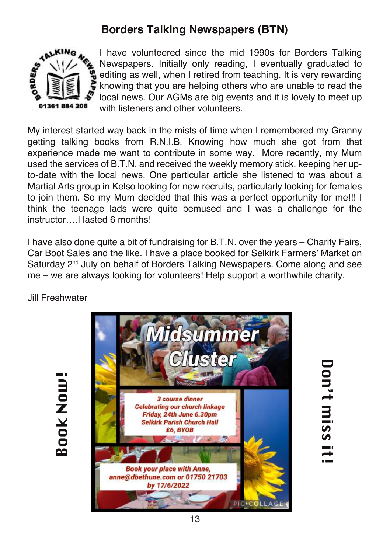# **Borders Talking Newspapers (BTN)**



I have volunteered since the mid 1990s for Borders Talking Newspapers. Initially only reading, I eventually graduated to editing as well, when I retired from teaching. It is very rewarding knowing that you are helping others who are unable to read the local news. Our AGMs are big events and it is lovely to meet up with listeners and other volunteers.

My interest started way back in the mists of time when I remembered my Granny getting talking books from R.N.I.B. Knowing how much she got from that experience made me want to contribute in some way. More recently, my Mum used the services of B.T.N. and received the weekly memory stick, keeping her upto-date with the local news. One particular article she listened to was about a Martial Arts group in Kelso looking for new recruits, particularly looking for females to join them. So my Mum decided that this was a perfect opportunity for me!!! I think the teenage lads were quite bemused and I was a challenge for the instructor I lasted 6 months!

I have also done quite a bit of fundraising for B.T.N. over the years – Charity Fairs, Car Boot Sales and the like. I have a place booked for Selkirk Farmers' Market on Saturday 2<sup>nd</sup> July on behalf of Borders Talking Newspapers. Come along and see me – we are always looking for volunteers! Help support a worthwhile charity.

Jill Freshwater





Don't miss it Don't miss it!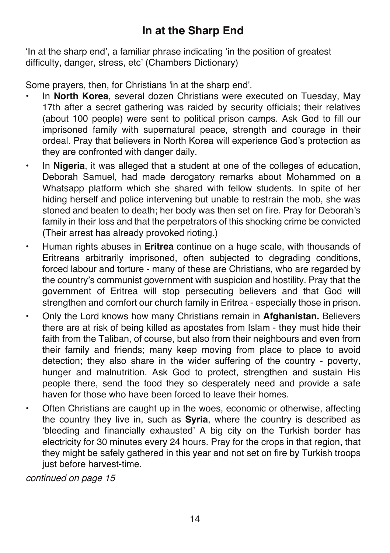'In at the sharp end', a familiar phrase indicating 'in the position of greatest difficulty, danger, stress, etc' (Chambers Dictionary)

Some prayers, then, for Christians 'in at the sharp end'.

- In **North Korea**, several dozen Christians were executed on Tuesday, May 17th after a secret gathering was raided by security officials; their relatives (about 100 people) were sent to political prison camps. Ask God to fill our imprisoned family with supernatural peace, strength and courage in their ordeal. Pray that believers in North Korea will experience God's protection as they are confronted with danger daily.
- In **Nigeria**, it was alleged that a student at one of the colleges of education, Deborah Samuel, had made derogatory remarks about Mohammed on a Whatsapp platform which she shared with fellow students. In spite of her hiding herself and police intervening but unable to restrain the mob, she was stoned and beaten to death; her body was then set on fire. Pray for Deborah's family in their loss and that the perpetrators of this shocking crime be convicted (Their arrest has already provoked rioting.)
- Human rights abuses in **Eritrea** continue on a huge scale, with thousands of Eritreans arbitrarily imprisoned, often subjected to degrading conditions, forced labour and torture - many of these are Christians, who are regarded by the country's communist government with suspicion and hostility. Pray that the government of Eritrea will stop persecuting believers and that God will strengthen and comfort our church family in Eritrea - especially those in prison.
- Only the Lord knows how many Christians remain in **Afghanistan.** Believers there are at risk of being killed as apostates from Islam - they must hide their faith from the Taliban, of course, but also from their neighbours and even from their family and friends; many keep moving from place to place to avoid detection; they also share in the wider suffering of the country - poverty, hunger and malnutrition. Ask God to protect, strengthen and sustain His people there, send the food they so desperately need and provide a safe haven for those who have been forced to leave their homes.
- Often Christians are caught up in the woes, economic or otherwise, affecting the country they live in, such as **Syria**, where the country is described as 'bleeding and financially exhausted' A big city on the Turkish border has electricity for 30 minutes every 24 hours. Pray for the crops in that region, that they might be safely gathered in this year and not set on fire by Turkish troops just before harvest-time.

*continued on page 15*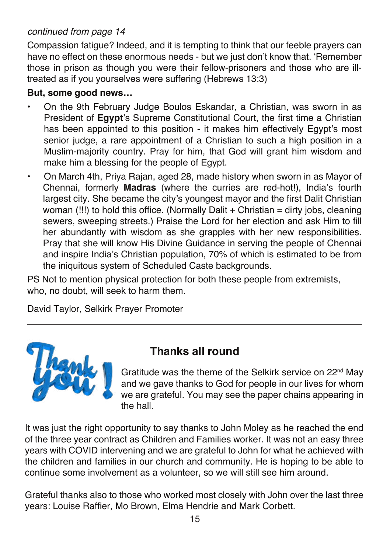#### *continued from page 14*

Compassion fatigue? Indeed, and it is tempting to think that our feeble prayers can have no effect on these enormous needs - but we just don't know that. 'Remember those in prison as though you were their fellow-prisoners and those who are illtreated as if you yourselves were suffering (Hebrews 13:3)

#### **But, some good news…**

- On the 9th February Judge Boulos Eskandar, a Christian, was sworn in as President of **Egypt**'s Supreme Constitutional Court, the first time a Christian has been appointed to this position - it makes him effectively Egypt's most senior judge, a rare appointment of a Christian to such a high position in a Muslim-majority country. Pray for him, that God will grant him wisdom and make him a blessing for the people of Egypt.
- On March 4th, Priya Rajan, aged 28, made history when sworn in as Mayor of Chennai, formerly **Madras** (where the curries are red-hot!), India's fourth largest city. She became the city's youngest mayor and the first Dalit Christian woman (!!!) to hold this office. (Normally Dalit + Christian = dirty jobs, cleaning sewers, sweeping streets.) Praise the Lord for her election and ask Him to fill her abundantly with wisdom as she grapples with her new responsibilities. Pray that she will know His Divine Guidance in serving the people of Chennai and inspire India's Christian population, 70% of which is estimated to be from the iniquitous system of Scheduled Caste backgrounds.

PS Not to mention physical protection for both these people from extremists, who, no doubt, will seek to harm them.

David Taylor, Selkirk Prayer Promoter



#### **Thanks all round**

Gratitude was the theme of the Selkirk service on 22nd May and we gave thanks to God for people in our lives for whom we are grateful. You may see the paper chains appearing in the hall.

It was just the right opportunity to say thanks to John Moley as he reached the end of the three year contract as Children and Families worker. It was not an easy three years with COVID intervening and we are grateful to John for what he achieved with the children and families in our church and community. He is hoping to be able to continue some involvement as a volunteer, so we will still see him around.

Grateful thanks also to those who worked most closely with John over the last three years: Louise Raffier, Mo Brown, Elma Hendrie and Mark Corbett.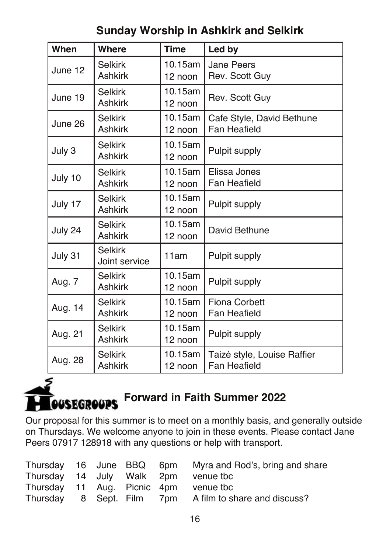| When    | <b>Where</b>                     | <b>Time</b>        | Led by                                      |
|---------|----------------------------------|--------------------|---------------------------------------------|
| June 12 | <b>Selkirk</b><br><b>Ashkirk</b> | 10.15am<br>12 noon | <b>Jane Peers</b><br>Rev. Scott Guy         |
| June 19 | <b>Selkirk</b><br><b>Ashkirk</b> | 10.15am<br>12 noon | Rev. Scott Guy                              |
| June 26 | <b>Selkirk</b><br><b>Ashkirk</b> | 10.15am<br>12 noon | Cafe Style, David Bethune<br>Fan Heafield   |
| July 3  | <b>Selkirk</b><br><b>Ashkirk</b> | 10.15am<br>12 noon | Pulpit supply                               |
| July 10 | <b>Selkirk</b><br><b>Ashkirk</b> | 10.15am<br>12 noon | Elissa Jones<br><b>Fan Heafield</b>         |
| July 17 | <b>Selkirk</b><br><b>Ashkirk</b> | 10.15am<br>12 noon | Pulpit supply                               |
| July 24 | <b>Selkirk</b><br><b>Ashkirk</b> | 10.15am<br>12 noon | David Bethune                               |
| July 31 | Selkirk<br>Joint service         | 11am               | Pulpit supply                               |
| Aug. 7  | <b>Selkirk</b><br><b>Ashkirk</b> | 10.15am<br>12 noon | Pulpit supply                               |
| Aug. 14 | Selkirk<br><b>Ashkirk</b>        | 10.15am<br>12 noon | <b>Fiona Corbett</b><br>Fan Heafield        |
| Aug. 21 | Selkirk<br><b>Ashkirk</b>        | 10.15am<br>12 noon | Pulpit supply                               |
| Aug. 28 | <b>Selkirk</b><br><b>Ashkirk</b> | 10.15am<br>12 noon | Taizé style, Louise Raffier<br>Fan Heafield |

# **Sunday Worship in Ashkirk and Selkirk**

# **Forward in Faith Summer 2022 OUSEGROUPS**

Our proposal for this summer is to meet on a monthly basis, and generally outside on Thursdays. We welcome anyone to join in these events. Please contact Jane Peers 07917 128918 with any questions or help with transport.

|  |  | Thursday 16 June BBQ 6pm Myra and Rod's, bring and share |
|--|--|----------------------------------------------------------|
|  |  | Thursday 14 July Walk 2pm venue tbc                      |
|  |  | Thursday 11 Aug. Picnic 4pm venue tbc                    |
|  |  | Thursday 8 Sept. Film 7pm A film to share and discuss?   |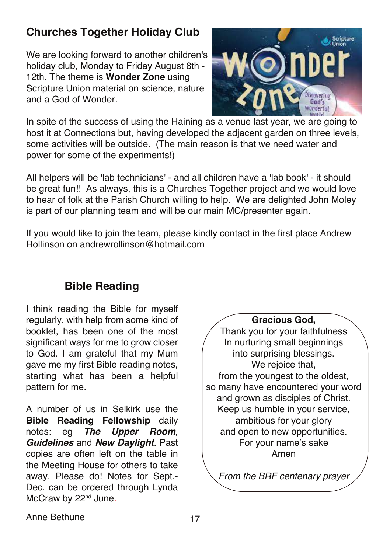# **Churches Together Holiday Club**

We are looking forward to another children's holiday club, Monday to Friday August 8th - 12th. The theme is **Wonder Zone** using Scripture Union material on science, nature and a God of Wonder.



In spite of the success of using the Haining as a venue last year, we are going to host it at Connections but, having developed the adjacent garden on three levels. some activities will be outside. (The main reason is that we need water and power for some of the experiments!)

All helpers will be 'lab technicians' - and all children have a 'lab book' - it should be great fun!! As always, this is a Churches Together project and we would love to hear of folk at the Parish Church willing to help. We are delighted John Moley is part of our planning team and will be our main MC/presenter again.

If you would like to ioin the team, please kindly contact in the first place Andrew Rollinson on andrewrollinson@hotmail.com

#### **Bible Reading**

I think reading the Bible for myself regularly, with help from some kind of booklet, has been one of the most significant ways for me to grow closer to God. I am grateful that my Mum gave me my first Bible reading notes, starting what has been a helpful pattern for me.

A number of us in Selkirk use the **Bible Reading Fellowship** daily notes: eg *The Upper Room*, *Guidelines* and *New Daylight*. Past copies are often left on the table in the Meeting House for others to take away. Please do! Notes for Sept.- Dec. can be ordered through Lynda McCraw by 22<sup>nd</sup> June.

#### **Gracious God,**

Thank you for your faithfulness In nurturing small beginnings into surprising blessings. We rejoice that, from the youngest to the oldest, so many have encountered your word and grown as disciples of Christ. Keep us humble in your service, ambitious for your glory and open to new opportunities. For your name's sake Amen

*From the BRF centenary prayer*

Anne Bethune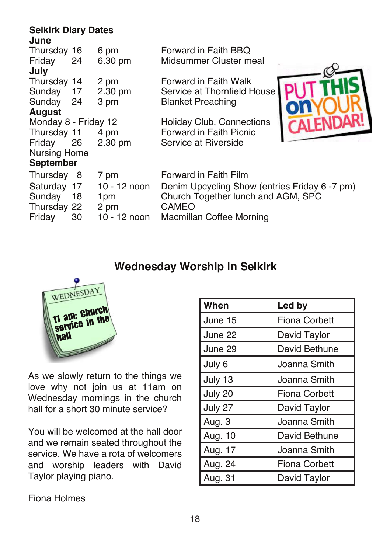#### **Selkirk Diary Dates June**

| Thursday 16          |     | 6 pm         | Forward in Faith BBQ                          |  |
|----------------------|-----|--------------|-----------------------------------------------|--|
| Friday               | 24  | 6.30 pm      | Midsummer Cluster meal                        |  |
| July                 |     |              |                                               |  |
| Thursday 14          |     | 2 pm         | Forward in Faith Walk                         |  |
| Sunday               | 17  | 2.30 pm      | Service at Thornfield House                   |  |
| Sunday               | 24  | 3 pm         | <b>Blanket Preaching</b>                      |  |
| <b>August</b>        |     |              |                                               |  |
| Monday 8 - Friday 12 |     |              | <b>Holiday Club, Connections</b>              |  |
| Thursday 11          |     | 4 pm         | Forward in Faith Picnic                       |  |
| Friday               | 26  | 2.30 pm      | Service at Riverside                          |  |
| <b>Nursing Home</b>  |     |              |                                               |  |
| <b>September</b>     |     |              |                                               |  |
| Thursday             | - 8 | 7 pm         | Forward in Faith Film                         |  |
| Saturday 17          |     | 10 - 12 noon | Denim Upcycling Show (entries Friday 6 -7 pm) |  |
| Sunday               | 18  | 1pm          | Church Together lunch and AGM, SPC            |  |
| Thursday 22          |     | 2 pm         | <b>CAMEO</b>                                  |  |
| Friday               | 30  | 10 - 12 noon | Macmillan Coffee Morning                      |  |
|                      |     |              |                                               |  |

#### **Wednesday Worship in Selkirk**



As we slowly return to the things we love why not join us at 11am on Wednesday mornings in the church hall for a short 30 minute service?

You will be welcomed at the hall door and we remain seated throughout the service. We have a rota of welcomers and worship leaders with David Taylor playing piano.

| When    | Led by               |  |
|---------|----------------------|--|
| June 15 | <b>Fiona Corbett</b> |  |
| June 22 | David Taylor         |  |
| June 29 | David Bethune        |  |
| July 6  | Joanna Smith         |  |
| July 13 | Joanna Smith         |  |
| July 20 | Fiona Corbett        |  |
| July 27 | David Taylor         |  |
| Aug. 3  | Joanna Smith         |  |
| Aug. 10 | David Bethune        |  |
| Aug. 17 | Joanna Smith         |  |
| Aug. 24 | <b>Fiona Corbett</b> |  |
| Aug. 31 | David Taylor         |  |

Fiona Holmes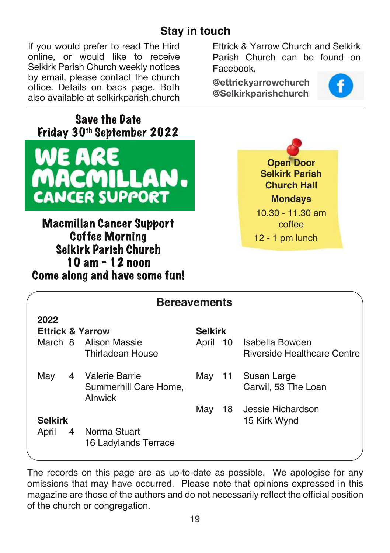### **Stay in touch**

If you would prefer to read The Hird online, or would like to receive Selkirk Parish Church weekly notices by email, please contact the church office. Details on back page. Both also available at selkirkparish.church Ettrick & Yarrow Church and Selkirk Parish Church can be found on Facebook.

**@ettrickyarrowchurch @Selkirkparishchurch**



**Save the Date Friday 30th September 2022** WE ARE MACMILLAN **CANCER SUPPORT** 

**Macmillan Cancer Support Coffee Morning Selkirk Parish Church 10 am - 12 noon Come along and have some fun!**



| <b>Bereavements</b>         |                                      |                |                                    |  |  |  |
|-----------------------------|--------------------------------------|----------------|------------------------------------|--|--|--|
| 2022                        |                                      |                |                                    |  |  |  |
| <b>Ettrick &amp; Yarrow</b> |                                      | <b>Selkirk</b> |                                    |  |  |  |
|                             | March 8 Alison Massie                |                | April 10 Isabella Bowden           |  |  |  |
|                             | <b>Thirladean House</b>              |                | <b>Riverside Healthcare Centre</b> |  |  |  |
| May                         | 4 Valerie Barrie                     | May 11         | Susan Large                        |  |  |  |
|                             | Summerhill Care Home,<br>Alnwick     |                | Carwil, 53 The Loan                |  |  |  |
|                             |                                      | Mav            | 18 Jessie Richardson               |  |  |  |
| <b>Selkirk</b>              |                                      |                | 15 Kirk Wynd                       |  |  |  |
| April<br>4                  | Norma Stuart<br>16 Ladylands Terrace |                |                                    |  |  |  |

The records on this page are as up-to-date as possible. We apologise for any omissions that may have occurred. Please note that opinions expressed in this magazine are those of the authors and do not necessarily reflect the official position of the church or congregation.